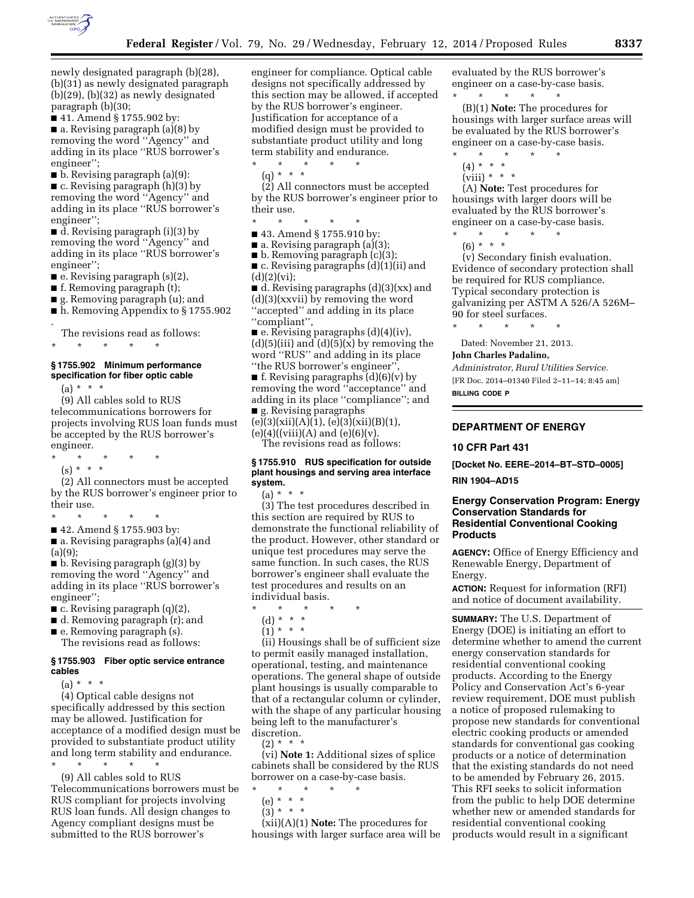

newly designated paragraph (b)(28), (b)(31) as newly designated paragraph  $(b)(29)$ ,  $(b)(32)$  as newly designated paragraph (b)(30;

■ 41. Amend § 1755.902 by:

■ a. Revising paragraph (a)(8) by removing the word ''Agency'' and adding in its place ''RUS borrower's engineer'';

■ b. Revising paragraph (a)(9):

■ c. Revising paragraph (h)(3) by removing the word ''Agency'' and adding in its place ''RUS borrower's engineer'';

■ d. Revising paragraph (i)(3) by removing the word ''Agency'' and adding in its place ''RUS borrower's engineer'';

■ e. Revising paragraph (s)(2),

- f. Removing paragraph (t);
- g. Removing paragraph (u); and
- h. Removing Appendix to § 1755.902 .

The revisions read as follows:

\* \* \* \* \*

# **§ 1755.902 Minimum performance specification for fiber optic cable**

 $(a) * * * *$ 

(9) All cables sold to RUS telecommunications borrowers for projects involving RUS loan funds must be accepted by the RUS borrower's engineer.

- \* \* \* \* \*
	- $(s) * * * *$

(2) All connectors must be accepted by the RUS borrower's engineer prior to their use.

\* \* \* \* \*

■ 42. Amend § 1755.903 by:

■ a. Revising paragraphs (a)(4) and  $(a)(9)$ :

■ b. Revising paragraph (g)(3) by removing the word ''Agency'' and adding in its place ''RUS borrower's engineer'';

■ c. Revising paragraph (q)(2),

- d. Removing paragraph (r); and
- e. Removing paragraph (s). The revisions read as follows:

## **§ 1755.903 Fiber optic service entrance cables**

 $(a) * * * *$ 

(4) Optical cable designs not specifically addressed by this section may be allowed. Justification for acceptance of a modified design must be provided to substantiate product utility and long term stability and endurance.

\* \* \* \* \*

(9) All cables sold to RUS Telecommunications borrowers must be RUS compliant for projects involving RUS loan funds. All design changes to Agency compliant designs must be submitted to the RUS borrower's

engineer for compliance. Optical cable designs not specifically addressed by this section may be allowed, if accepted by the RUS borrower's engineer. Justification for acceptance of a modified design must be provided to substantiate product utility and long term stability and endurance.

\* \* \* \* \*

(q) \* \* \*

(2) All connectors must be accepted by the RUS borrower's engineer prior to their use.

\* \* \* \* \*

■ 43. Amend § 1755.910 by:

 $\blacksquare$  a. Revising paragraph (a)(3);

■ b. Removing paragraph (c)(3); ■ c. Revising paragraphs (d)(1)(ii) and  $(d)(2)(vi);$ 

 $\blacksquare$  d. Revising paragraphs (d)(3)(xx) and (d)(3)(xxvii) by removing the word ''accepted'' and adding in its place ''compliant'',

 $\blacksquare$  e. Revising paragraphs (d)(4)(iv),  $(d)(5)(iii)$  and  $(d)(5)(x)$  by removing the word ''RUS'' and adding in its place "the RUS borrower's engineer"

 $\blacksquare$  f. Revising paragraphs (d)(6)(v) by removing the word ''acceptance'' and adding in its place ''compliance''; and ■ g. Revising paragraphs

 $(e)(3)(xii)(A)(1), (e)(3)(xii)(B)(1),$  $(e)(4)((viii)(A)$  and  $(e)(6)(v)$ .

The revisions read as follows:

### **§ 1755.910 RUS specification for outside plant housings and serving area interface system.**

 $(a) * * * *$ 

(3) The test procedures described in this section are required by RUS to demonstrate the functional reliability of the product. However, other standard or unique test procedures may serve the same function. In such cases, the RUS borrower's engineer shall evaluate the test procedures and results on an individual basis.

- \* \* \* \* \*
	- (d) \* \* \*
	- $\binom{1}{1}$  \* \* \*

(ii) Housings shall be of sufficient size to permit easily managed installation, operational, testing, and maintenance operations. The general shape of outside plant housings is usually comparable to that of a rectangular column or cylinder, with the shape of any particular housing being left to the manufacturer's discretion.

 $(2) * * * *$ 

(vi) **Note 1:** Additional sizes of splice cabinets shall be considered by the RUS borrower on a case-by-case basis.

- \* \* \* \* \* (e) \* \* \*
	- (3) \* \* \*

(xii)(A)(1) **Note:** The procedures for housings with larger surface area will be evaluated by the RUS borrower's engineer on a case-by-case basis. \* \* \* \* \*

(B)(1) **Note:** The procedures for housings with larger surface areas will be evaluated by the RUS borrower's engineer on a case-by-case basis.

- \* \* \* \* \*
- $(4) * * * *$
- $(viii) * * * *$

(A) **Note:** Test procedures for housings with larger doors will be evaluated by the RUS borrower's engineer on a case-by-case basis.

\* \* \* \* \*

(6) \* \* \* (v) Secondary finish evaluation. Evidence of secondary protection shall be required for RUS compliance. Typical secondary protection is galvanizing per ASTM A 526/A 526M– 90 for steel surfaces.

\* \* \* \* \*

Dated: November 21, 2013.

**John Charles Padalino,** 

*Administrator, Rural Utilities Service.*  [FR Doc. 2014–01340 Filed 2–11–14; 8:45 am]

**BILLING CODE P** 

## **DEPARTMENT OF ENERGY**

## **10 CFR Part 431**

**[Docket No. EERE–2014–BT–STD–0005]** 

**RIN 1904–AD15** 

## **Energy Conservation Program: Energy Conservation Standards for Residential Conventional Cooking Products**

**AGENCY:** Office of Energy Efficiency and Renewable Energy, Department of Energy.

**ACTION:** Request for information (RFI) and notice of document availability.

**SUMMARY:** The U.S. Department of Energy (DOE) is initiating an effort to determine whether to amend the current energy conservation standards for residential conventional cooking products. According to the Energy Policy and Conservation Act's 6-year review requirement, DOE must publish a notice of proposed rulemaking to propose new standards for conventional electric cooking products or amended standards for conventional gas cooking products or a notice of determination that the existing standards do not need to be amended by February 26, 2015. This RFI seeks to solicit information from the public to help DOE determine whether new or amended standards for residential conventional cooking products would result in a significant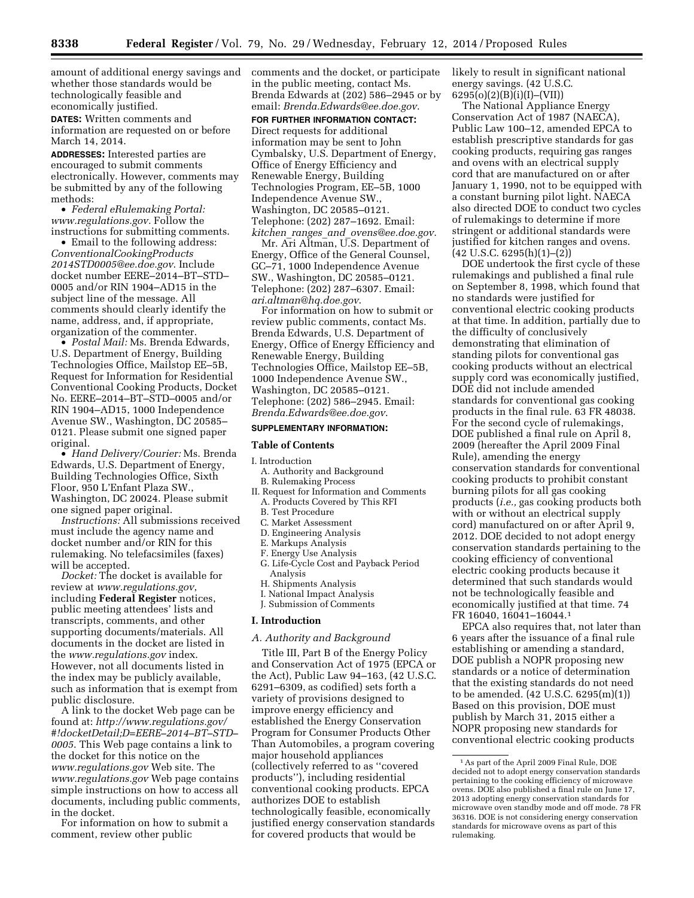amount of additional energy savings and whether those standards would be technologically feasible and economically justified.

**DATES:** Written comments and information are requested on or before March 14, 2014.

**ADDRESSES:** Interested parties are encouraged to submit comments electronically. However, comments may be submitted by any of the following methods:

• *Federal eRulemaking Portal: [www.regulations.gov.](http://www.regulations.gov)* Follow the instructions for submitting comments.

• Email to the following address: *[ConventionalCookingProducts](mailto:ConventionalCookingProducts2014STD0005@ee.doe.gov) [2014STD0005@ee.doe.gov](mailto:ConventionalCookingProducts2014STD0005@ee.doe.gov)*. Include docket number EERE–2014–BT–STD– 0005 and/or RIN 1904–AD15 in the subject line of the message. All comments should clearly identify the name, address, and, if appropriate, organization of the commenter.

• *Postal Mail:* Ms. Brenda Edwards, U.S. Department of Energy, Building Technologies Office, Mailstop EE–5B, Request for Information for Residential Conventional Cooking Products, Docket No. EERE–2014–BT–STD–0005 and/or RIN 1904–AD15, 1000 Independence Avenue SW., Washington, DC 20585– 0121. Please submit one signed paper original.

• *Hand Delivery/Courier:* Ms. Brenda Edwards, U.S. Department of Energy, Building Technologies Office, Sixth Floor, 950 L'Enfant Plaza SW., Washington, DC 20024. Please submit one signed paper original.

*Instructions:* All submissions received must include the agency name and docket number and/or RIN for this rulemaking. No telefacsimiles (faxes) will be accepted.

*Docket:* The docket is available for review at *[www.regulations.gov](http://www.regulations.gov)*, including **Federal Register** notices, public meeting attendees' lists and transcripts, comments, and other supporting documents/materials. All documents in the docket are listed in the *[www.regulations.gov](http://www.regulations.gov)* index. However, not all documents listed in the index may be publicly available, such as information that is exempt from public disclosure.

A link to the docket Web page can be found at: *[http://www.regulations.gov/](http://www.regulations.gov/#!docketDetail;D=EERE-2014-BT-STD-0005) [#!docketDetail;D=EERE–2014–BT–STD–](http://www.regulations.gov/#!docketDetail;D=EERE-2014-BT-STD-0005) [0005](http://www.regulations.gov/#!docketDetail;D=EERE-2014-BT-STD-0005)*. This Web page contains a link to the docket for this notice on the *[www.regulations.gov](http://www.regulations.gov)* Web site. The *[www.regulations.gov](http://www.regulations.gov)* Web page contains simple instructions on how to access all documents, including public comments, in the docket.

For information on how to submit a comment, review other public

comments and the docket, or participate in the public meeting, contact Ms. Brenda Edwards at (202) 586–2945 or by email: *[Brenda.Edwards@ee.doe.gov](mailto:Brenda.Edwards@ee.doe.gov)*.

**FOR FURTHER INFORMATION CONTACT:**  Direct requests for additional information may be sent to John Cymbalsky, U.S. Department of Energy, Office of Energy Efficiency and Renewable Energy, Building Technologies Program, EE–5B, 1000 Independence Avenue SW., Washington, DC 20585–0121. Telephone: (202) 287–1692. Email: *kitchen*\_*ranges*\_*and*\_*[ovens@ee.doe.gov](mailto:kitchen_ranges_and_ovens@ee.doe.gov)*.

Mr. Ari Altman, U.S. Department of Energy, Office of the General Counsel, GC–71, 1000 Independence Avenue SW., Washington, DC 20585–0121. Telephone: (202) 287–6307. Email: *[ari.altman@hq.doe.gov](mailto:ari.altman@hq.doe.gov)*.

For information on how to submit or review public comments, contact Ms. Brenda Edwards, U.S. Department of Energy, Office of Energy Efficiency and Renewable Energy, Building Technologies Office, Mailstop EE–5B, 1000 Independence Avenue SW., Washington, DC 20585–0121. Telephone: (202) 586–2945. Email: *[Brenda.Edwards@ee.doe.gov](mailto:Brenda.Edwards@ee.doe.gov)*.

#### **SUPPLEMENTARY INFORMATION:**

### **Table of Contents**

#### I. Introduction

- A. Authority and Background B. Rulemaking Process
- II. Request for Information and Comments A. Products Covered by This RFI
	- B. Test Procedure
	- C. Market Assessment
	- D. Engineering Analysis
	- E. Markups Analysis
	- F. Energy Use Analysis
	- G. Life-Cycle Cost and Payback Period Analysis
	- H. Shipments Analysis
	- I. National Impact Analysis
	- J. Submission of Comments

## **I. Introduction**

## *A. Authority and Background*

Title III, Part B of the Energy Policy and Conservation Act of 1975 (EPCA or the Act), Public Law 94–163, (42 U.S.C. 6291–6309, as codified) sets forth a variety of provisions designed to improve energy efficiency and established the Energy Conservation Program for Consumer Products Other Than Automobiles, a program covering major household appliances (collectively referred to as ''covered products''), including residential conventional cooking products. EPCA authorizes DOE to establish technologically feasible, economically justified energy conservation standards for covered products that would be

likely to result in significant national energy savings. (42 U.S.C. 6295(o)(2)(B)(i)(I)–(VII))

The National Appliance Energy Conservation Act of 1987 (NAECA), Public Law 100–12, amended EPCA to establish prescriptive standards for gas cooking products, requiring gas ranges and ovens with an electrical supply cord that are manufactured on or after January 1, 1990, not to be equipped with a constant burning pilot light. NAECA also directed DOE to conduct two cycles of rulemakings to determine if more stringent or additional standards were justified for kitchen ranges and ovens.  $(42 \text{ U.S.C. } 6295 \text{ (h)} \cdot (1) - (2))$ 

DOE undertook the first cycle of these rulemakings and published a final rule on September 8, 1998, which found that no standards were justified for conventional electric cooking products at that time. In addition, partially due to the difficulty of conclusively demonstrating that elimination of standing pilots for conventional gas cooking products without an electrical supply cord was economically justified, DOE did not include amended standards for conventional gas cooking products in the final rule. 63 FR 48038. For the second cycle of rulemakings, DOE published a final rule on April 8, 2009 (hereafter the April 2009 Final Rule), amending the energy conservation standards for conventional cooking products to prohibit constant burning pilots for all gas cooking products (*i.e.,* gas cooking products both with or without an electrical supply cord) manufactured on or after April 9, 2012. DOE decided to not adopt energy conservation standards pertaining to the cooking efficiency of conventional electric cooking products because it determined that such standards would not be technologically feasible and economically justified at that time. 74 FR 16040, 16041–16044.1

EPCA also requires that, not later than 6 years after the issuance of a final rule establishing or amending a standard, DOE publish a NOPR proposing new standards or a notice of determination that the existing standards do not need to be amended. (42 U.S.C. 6295(m)(1)) Based on this provision, DOE must publish by March 31, 2015 either a NOPR proposing new standards for conventional electric cooking products

<sup>1</sup>As part of the April 2009 Final Rule, DOE decided not to adopt energy conservation standards pertaining to the cooking efficiency of microwave ovens. DOE also published a final rule on June 17, 2013 adopting energy conservation standards for microwave oven standby mode and off mode. 78 FR 36316. DOE is not considering energy conservation standards for microwave ovens as part of this rulemaking.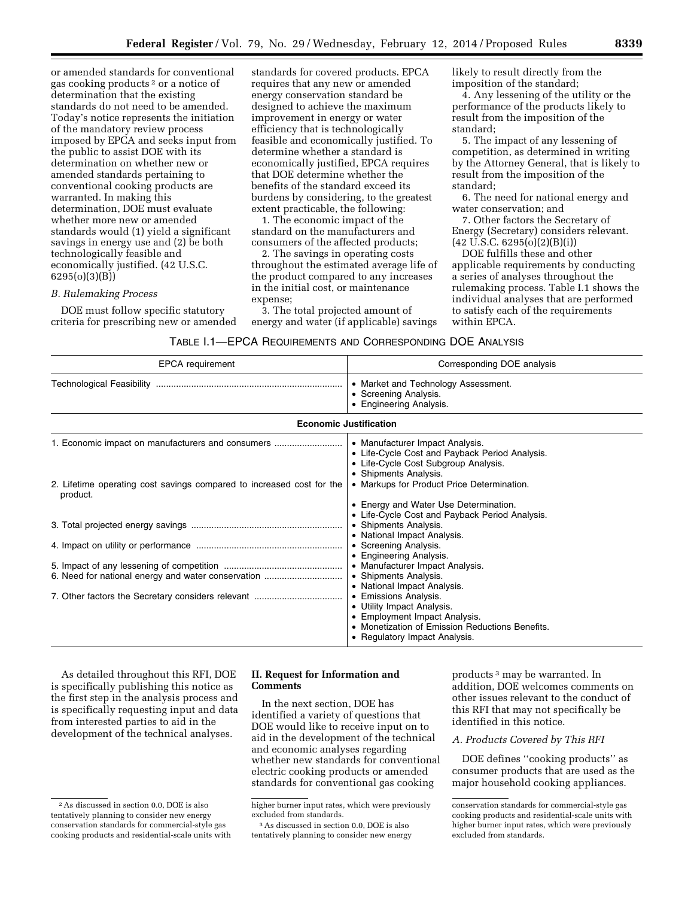or amended standards for conventional gas cooking products 2 or a notice of determination that the existing standards do not need to be amended. Today's notice represents the initiation of the mandatory review process imposed by EPCA and seeks input from the public to assist DOE with its determination on whether new or amended standards pertaining to conventional cooking products are warranted. In making this determination, DOE must evaluate whether more new or amended standards would (1) yield a significant savings in energy use and (2) be both technologically feasible and economically justified. (42 U.S.C. 6295(o)(3)(B))

## *B. Rulemaking Process*

DOE must follow specific statutory criteria for prescribing new or amended

standards for covered products. EPCA requires that any new or amended energy conservation standard be designed to achieve the maximum improvement in energy or water efficiency that is technologically feasible and economically justified. To determine whether a standard is economically justified, EPCA requires that DOE determine whether the benefits of the standard exceed its burdens by considering, to the greatest extent practicable, the following:

1. The economic impact of the standard on the manufacturers and consumers of the affected products;

2. The savings in operating costs throughout the estimated average life of the product compared to any increases in the initial cost, or maintenance expense;

3. The total projected amount of energy and water (if applicable) savings likely to result directly from the imposition of the standard;

4. Any lessening of the utility or the performance of the products likely to result from the imposition of the standard;

5. The impact of any lessening of competition, as determined in writing by the Attorney General, that is likely to result from the imposition of the standard;

6. The need for national energy and water conservation; and

7. Other factors the Secretary of Energy (Secretary) considers relevant. (42 U.S.C. 6295(o)(2)(B)(i))

DOE fulfills these and other applicable requirements by conducting a series of analyses throughout the rulemaking process. Table I.1 shows the individual analyses that are performed to satisfy each of the requirements within EPCA.

### TABLE I.1—EPCA REQUIREMENTS AND CORRESPONDING DOE ANALYSIS

| <b>EPCA</b> requirement                                                                                                                                                                      | Corresponding DOE analysis                                                                                                                                                                                                                                                                                                                                                                                                                                                                                                                                                                 |
|----------------------------------------------------------------------------------------------------------------------------------------------------------------------------------------------|--------------------------------------------------------------------------------------------------------------------------------------------------------------------------------------------------------------------------------------------------------------------------------------------------------------------------------------------------------------------------------------------------------------------------------------------------------------------------------------------------------------------------------------------------------------------------------------------|
|                                                                                                                                                                                              | • Market and Technology Assessment.<br>• Screening Analysis.<br>• Engineering Analysis.                                                                                                                                                                                                                                                                                                                                                                                                                                                                                                    |
|                                                                                                                                                                                              | <b>Economic Justification</b>                                                                                                                                                                                                                                                                                                                                                                                                                                                                                                                                                              |
| 1. Economic impact on manufacturers and consumers<br>2. Lifetime operating cost savings compared to increased cost for the<br>product.<br>6. Need for national energy and water conservation | • Manufacturer Impact Analysis.<br>• Life-Cycle Cost and Payback Period Analysis.<br>• Life-Cycle Cost Subgroup Analysis.<br>• Shipments Analysis.<br>• Markups for Product Price Determination.<br>• Energy and Water Use Determination.<br>• Life-Cycle Cost and Payback Period Analysis.<br>• Shipments Analysis.<br>• National Impact Analysis.<br>• Screening Analysis.<br>• Engineering Analysis.<br>• Manufacturer Impact Analysis.<br>• Shipments Analysis.<br>• National Impact Analysis.<br>• Emissions Analysis.<br>• Utility Impact Analysis.<br>• Employment Impact Analysis. |
|                                                                                                                                                                                              | • Monetization of Emission Reductions Benefits.<br>• Regulatory Impact Analysis.                                                                                                                                                                                                                                                                                                                                                                                                                                                                                                           |

As detailed throughout this RFI, DOE is specifically publishing this notice as the first step in the analysis process and is specifically requesting input and data from interested parties to aid in the development of the technical analyses.

# **II. Request for Information and Comments**

In the next section, DOE has identified a variety of questions that DOE would like to receive input on to aid in the development of the technical and economic analyses regarding whether new standards for conventional electric cooking products or amended standards for conventional gas cooking

products 3 may be warranted. In addition, DOE welcomes comments on other issues relevant to the conduct of this RFI that may not specifically be identified in this notice.

### *A. Products Covered by This RFI*

DOE defines ''cooking products'' as consumer products that are used as the major household cooking appliances.

<sup>2</sup>As discussed in section 0.0, DOE is also tentatively planning to consider new energy conservation standards for commercial-style gas cooking products and residential-scale units with

higher burner input rates, which were previously excluded from standards.

<sup>3</sup>As discussed in section 0.0, DOE is also tentatively planning to consider new energy

conservation standards for commercial-style gas cooking products and residential-scale units with higher burner input rates, which were previously excluded from standards.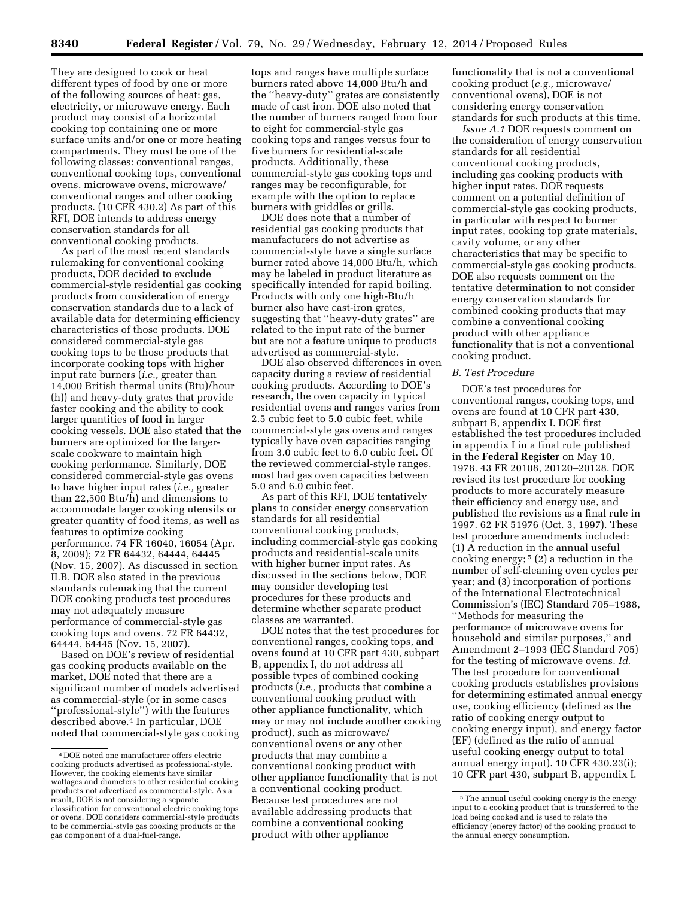They are designed to cook or heat different types of food by one or more of the following sources of heat: gas, electricity, or microwave energy. Each product may consist of a horizontal cooking top containing one or more surface units and/or one or more heating compartments. They must be one of the following classes: conventional ranges, conventional cooking tops, conventional ovens, microwave ovens, microwave/ conventional ranges and other cooking products. (10 CFR 430.2) As part of this RFI, DOE intends to address energy conservation standards for all conventional cooking products.

As part of the most recent standards rulemaking for conventional cooking products, DOE decided to exclude commercial-style residential gas cooking products from consideration of energy conservation standards due to a lack of available data for determining efficiency characteristics of those products. DOE considered commercial-style gas cooking tops to be those products that incorporate cooking tops with higher input rate burners (*i.e.,* greater than 14,000 British thermal units (Btu)/hour (h)) and heavy-duty grates that provide faster cooking and the ability to cook larger quantities of food in larger cooking vessels. DOE also stated that the burners are optimized for the largerscale cookware to maintain high cooking performance. Similarly, DOE considered commercial-style gas ovens to have higher input rates (*i.e.,* greater than 22,500 Btu/h) and dimensions to accommodate larger cooking utensils or greater quantity of food items, as well as features to optimize cooking performance. 74 FR 16040, 16054 (Apr. 8, 2009); 72 FR 64432, 64444, 64445 (Nov. 15, 2007). As discussed in section II.B, DOE also stated in the previous standards rulemaking that the current DOE cooking products test procedures may not adequately measure performance of commercial-style gas cooking tops and ovens. 72 FR 64432, 64444, 64445 (Nov. 15, 2007).

Based on DOE's review of residential gas cooking products available on the market, DOE noted that there are a significant number of models advertised as commercial-style (or in some cases ''professional-style'') with the features described above.4 In particular, DOE noted that commercial-style gas cooking tops and ranges have multiple surface burners rated above 14,000 Btu/h and the ''heavy-duty'' grates are consistently made of cast iron. DOE also noted that the number of burners ranged from four to eight for commercial-style gas cooking tops and ranges versus four to five burners for residential-scale products. Additionally, these commercial-style gas cooking tops and ranges may be reconfigurable, for example with the option to replace burners with griddles or grills.

DOE does note that a number of residential gas cooking products that manufacturers do not advertise as commercial-style have a single surface burner rated above 14,000 Btu/h, which may be labeled in product literature as specifically intended for rapid boiling. Products with only one high-Btu/h burner also have cast-iron grates, suggesting that ''heavy-duty grates'' are related to the input rate of the burner but are not a feature unique to products advertised as commercial-style.

DOE also observed differences in oven capacity during a review of residential cooking products. According to DOE's research, the oven capacity in typical residential ovens and ranges varies from 2.5 cubic feet to 5.0 cubic feet, while commercial-style gas ovens and ranges typically have oven capacities ranging from 3.0 cubic feet to 6.0 cubic feet. Of the reviewed commercial-style ranges, most had gas oven capacities between 5.0 and 6.0 cubic feet.

As part of this RFI, DOE tentatively plans to consider energy conservation standards for all residential conventional cooking products, including commercial-style gas cooking products and residential-scale units with higher burner input rates. As discussed in the sections below, DOE may consider developing test procedures for these products and determine whether separate product classes are warranted.

DOE notes that the test procedures for conventional ranges, cooking tops, and ovens found at 10 CFR part 430, subpart B, appendix I, do not address all possible types of combined cooking products (*i.e.,* products that combine a conventional cooking product with other appliance functionality, which may or may not include another cooking product), such as microwave/ conventional ovens or any other products that may combine a conventional cooking product with other appliance functionality that is not a conventional cooking product. Because test procedures are not available addressing products that combine a conventional cooking product with other appliance

functionality that is not a conventional cooking product (*e.g.,* microwave/ conventional ovens), DOE is not considering energy conservation standards for such products at this time.

*Issue A.1* DOE requests comment on the consideration of energy conservation standards for all residential conventional cooking products, including gas cooking products with higher input rates. DOE requests comment on a potential definition of commercial-style gas cooking products, in particular with respect to burner input rates, cooking top grate materials, cavity volume, or any other characteristics that may be specific to commercial-style gas cooking products. DOE also requests comment on the tentative determination to not consider energy conservation standards for combined cooking products that may combine a conventional cooking product with other appliance functionality that is not a conventional cooking product.

### *B. Test Procedure*

DOE's test procedures for conventional ranges, cooking tops, and ovens are found at 10 CFR part 430, subpart B, appendix I. DOE first established the test procedures included in appendix I in a final rule published in the **Federal Register** on May 10, 1978. 43 FR 20108, 20120–20128. DOE revised its test procedure for cooking products to more accurately measure their efficiency and energy use, and published the revisions as a final rule in 1997. 62 FR 51976 (Oct. 3, 1997). These test procedure amendments included: (1) A reduction in the annual useful cooking energy;  $5(2)$  a reduction in the number of self-cleaning oven cycles per year; and (3) incorporation of portions of the International Electrotechnical Commission's (IEC) Standard 705–1988, ''Methods for measuring the performance of microwave ovens for household and similar purposes,'' and Amendment 2–1993 (IEC Standard 705) for the testing of microwave ovens. *Id.*  The test procedure for conventional cooking products establishes provisions for determining estimated annual energy use, cooking efficiency (defined as the ratio of cooking energy output to cooking energy input), and energy factor (EF) (defined as the ratio of annual useful cooking energy output to total annual energy input). 10 CFR 430.23(i); 10 CFR part 430, subpart B, appendix I.

<sup>4</sup> DOE noted one manufacturer offers electric cooking products advertised as professional-style. However, the cooking elements have similar wattages and diameters to other residential cooking products not advertised as commercial-style. As a result, DOE is not considering a separate classification for conventional electric cooking tops or ovens. DOE considers commercial-style products to be commercial-style gas cooking products or the gas component of a dual-fuel-range.

<sup>5</sup>The annual useful cooking energy is the energy input to a cooking product that is transferred to the load being cooked and is used to relate the efficiency (energy factor) of the cooking product to the annual energy consumption.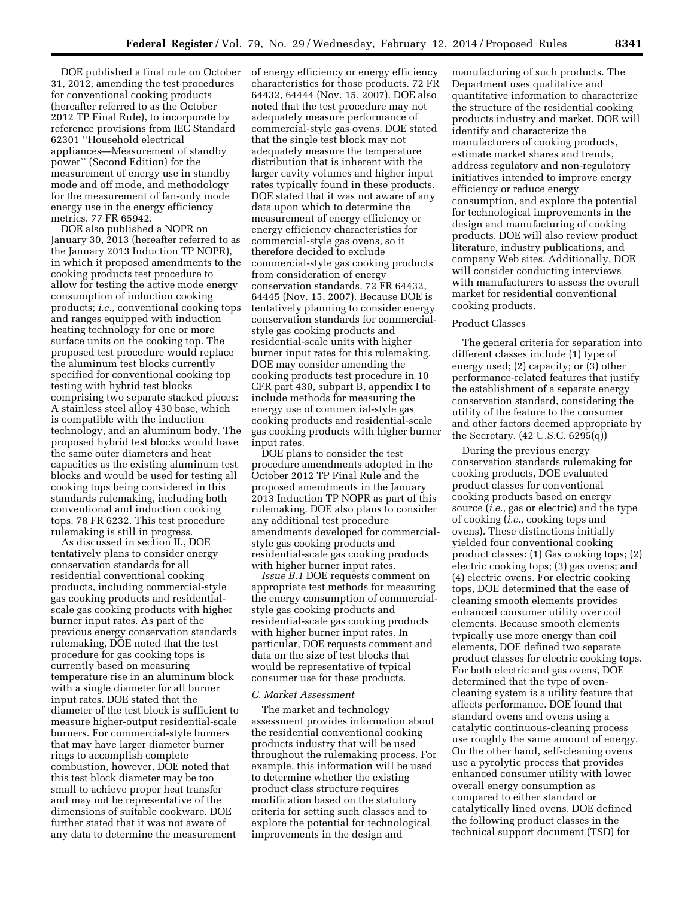DOE published a final rule on October 31, 2012, amending the test procedures for conventional cooking products (hereafter referred to as the October 2012 TP Final Rule), to incorporate by reference provisions from IEC Standard 62301 ''Household electrical appliances—Measurement of standby power'' (Second Edition) for the measurement of energy use in standby mode and off mode, and methodology for the measurement of fan-only mode energy use in the energy efficiency metrics. 77 FR 65942.

DOE also published a NOPR on January 30, 2013 (hereafter referred to as the January 2013 Induction TP NOPR), in which it proposed amendments to the cooking products test procedure to allow for testing the active mode energy consumption of induction cooking products; *i.e.,* conventional cooking tops and ranges equipped with induction heating technology for one or more surface units on the cooking top. The proposed test procedure would replace the aluminum test blocks currently specified for conventional cooking top testing with hybrid test blocks comprising two separate stacked pieces: A stainless steel alloy 430 base, which is compatible with the induction technology, and an aluminum body. The proposed hybrid test blocks would have the same outer diameters and heat capacities as the existing aluminum test blocks and would be used for testing all cooking tops being considered in this standards rulemaking, including both conventional and induction cooking tops. 78 FR 6232. This test procedure rulemaking is still in progress.

As discussed in section II., DOE tentatively plans to consider energy conservation standards for all residential conventional cooking products, including commercial-style gas cooking products and residentialscale gas cooking products with higher burner input rates. As part of the previous energy conservation standards rulemaking, DOE noted that the test procedure for gas cooking tops is currently based on measuring temperature rise in an aluminum block with a single diameter for all burner input rates. DOE stated that the diameter of the test block is sufficient to measure higher-output residential-scale burners. For commercial-style burners that may have larger diameter burner rings to accomplish complete combustion, however, DOE noted that this test block diameter may be too small to achieve proper heat transfer and may not be representative of the dimensions of suitable cookware. DOE further stated that it was not aware of any data to determine the measurement

of energy efficiency or energy efficiency characteristics for those products. 72 FR 64432, 64444 (Nov. 15, 2007). DOE also noted that the test procedure may not adequately measure performance of commercial-style gas ovens. DOE stated that the single test block may not adequately measure the temperature distribution that is inherent with the larger cavity volumes and higher input rates typically found in these products. DOE stated that it was not aware of any data upon which to determine the measurement of energy efficiency or energy efficiency characteristics for commercial-style gas ovens, so it therefore decided to exclude commercial-style gas cooking products from consideration of energy conservation standards. 72 FR 64432, 64445 (Nov. 15, 2007). Because DOE is tentatively planning to consider energy conservation standards for commercialstyle gas cooking products and residential-scale units with higher burner input rates for this rulemaking, DOE may consider amending the cooking products test procedure in 10 CFR part 430, subpart B, appendix I to include methods for measuring the energy use of commercial-style gas cooking products and residential-scale gas cooking products with higher burner input rates.

DOE plans to consider the test procedure amendments adopted in the October 2012 TP Final Rule and the proposed amendments in the January 2013 Induction TP NOPR as part of this rulemaking. DOE also plans to consider any additional test procedure amendments developed for commercialstyle gas cooking products and residential-scale gas cooking products with higher burner input rates.

*Issue B.1* DOE requests comment on appropriate test methods for measuring the energy consumption of commercialstyle gas cooking products and residential-scale gas cooking products with higher burner input rates. In particular, DOE requests comment and data on the size of test blocks that would be representative of typical consumer use for these products.

### *C. Market Assessment*

The market and technology assessment provides information about the residential conventional cooking products industry that will be used throughout the rulemaking process. For example, this information will be used to determine whether the existing product class structure requires modification based on the statutory criteria for setting such classes and to explore the potential for technological improvements in the design and

manufacturing of such products. The Department uses qualitative and quantitative information to characterize the structure of the residential cooking products industry and market. DOE will identify and characterize the manufacturers of cooking products, estimate market shares and trends, address regulatory and non-regulatory initiatives intended to improve energy efficiency or reduce energy consumption, and explore the potential for technological improvements in the design and manufacturing of cooking products. DOE will also review product literature, industry publications, and company Web sites. Additionally, DOE will consider conducting interviews with manufacturers to assess the overall market for residential conventional cooking products.

### Product Classes

The general criteria for separation into different classes include (1) type of energy used; (2) capacity; or (3) other performance-related features that justify the establishment of a separate energy conservation standard, considering the utility of the feature to the consumer and other factors deemed appropriate by the Secretary. (42 U.S.C. 6295(q))

During the previous energy conservation standards rulemaking for cooking products, DOE evaluated product classes for conventional cooking products based on energy source (*i.e.,* gas or electric) and the type of cooking (*i.e.,* cooking tops and ovens). These distinctions initially yielded four conventional cooking product classes: (1) Gas cooking tops; (2) electric cooking tops; (3) gas ovens; and (4) electric ovens. For electric cooking tops, DOE determined that the ease of cleaning smooth elements provides enhanced consumer utility over coil elements. Because smooth elements typically use more energy than coil elements, DOE defined two separate product classes for electric cooking tops. For both electric and gas ovens, DOE determined that the type of ovencleaning system is a utility feature that affects performance. DOE found that standard ovens and ovens using a catalytic continuous-cleaning process use roughly the same amount of energy. On the other hand, self-cleaning ovens use a pyrolytic process that provides enhanced consumer utility with lower overall energy consumption as compared to either standard or catalytically lined ovens. DOE defined the following product classes in the technical support document (TSD) for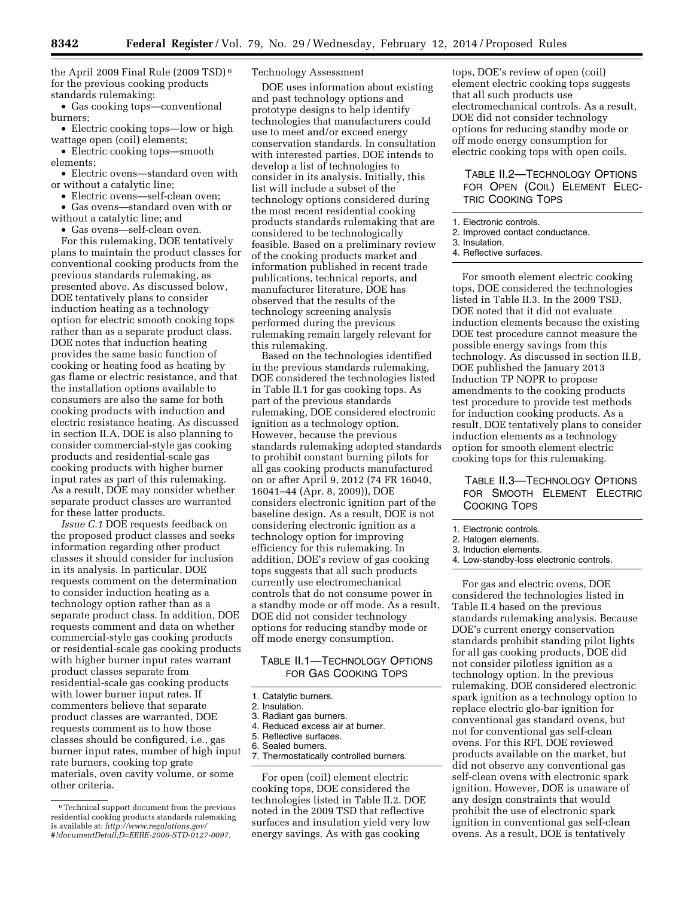the April 2009 Final Rule (2009 TSD) 6 for the previous cooking products standards rulemaking:

• Gas cooking tops—conventional burners;

• Electric cooking tops—low or high wattage open (coil) elements;

• Electric cooking tops—smooth elements;

• Electric ovens—standard oven with or without a catalytic line;

• Electric ovens—self-clean oven;

• Gas ovens—standard oven with or without a catalytic line; and

• Gas ovens—self-clean oven.

For this rulemaking, DOE tentatively plans to maintain the product classes for conventional cooking products from the previous standards rulemaking, as presented above. As discussed below, DOE tentatively plans to consider induction heating as a technology option for electric smooth cooking tops rather than as a separate product class. DOE notes that induction heating provides the same basic function of cooking or heating food as heating by gas flame or electric resistance, and that the installation options available to consumers are also the same for both cooking products with induction and electric resistance heating. As discussed in section II.A, DOE is also planning to consider commercial-style gas cooking products and residential-scale gas cooking products with higher burner input rates as part of this rulemaking. As a result, DOE may consider whether separate product classes are warranted for these latter products.

*Issue C.1* DOE requests feedback on the proposed product classes and seeks information regarding other product classes it should consider for inclusion in its analysis. In particular, DOE requests comment on the determination to consider induction heating as a technology option rather than as a separate product class. In addition, DOE requests comment and data on whether commercial-style gas cooking products or residential-scale gas cooking products with higher burner input rates warrant product classes separate from residential-scale gas cooking products with lower burner input rates. If commenters believe that separate product classes are warranted, DOE requests comment as to how those classes should be configured, i.e., gas burner input rates, number of high input rate burners, cooking top grate materials, oven cavity volume, or some other criteria.

## Technology Assessment

DOE uses information about existing and past technology options and prototype designs to help identify technologies that manufacturers could use to meet and/or exceed energy conservation standards. In consultation with interested parties, DOE intends to develop a list of technologies to consider in its analysis. Initially, this list will include a subset of the technology options considered during the most recent residential cooking products standards rulemaking that are considered to be technologically feasible. Based on a preliminary review of the cooking products market and information published in recent trade publications, technical reports, and manufacturer literature, DOE has observed that the results of the technology screening analysis performed during the previous rulemaking remain largely relevant for this rulemaking.

Based on the technologies identified in the previous standards rulemaking, DOE considered the technologies listed in Table II.1 for gas cooking tops. As part of the previous standards rulemaking, DOE considered electronic ignition as a technology option. However, because the previous standards rulemaking adopted standards to prohibit constant burning pilots for all gas cooking products manufactured on or after April 9, 2012 (74 FR 16040, 16041–44 (Apr. 8, 2009)), DOE considers electronic ignition part of the baseline design. As a result, DOE is not considering electronic ignition as a technology option for improving efficiency for this rulemaking. In addition, DOE's review of gas cooking tops suggests that all such products currently use electromechanical controls that do not consume power in a standby mode or off mode. As a result, DOE did not consider technology options for reducing standby mode or off mode energy consumption.

# TABLE II.1—TECHNOLOGY OPTIONS FOR GAS COOKING TOPS

- 1. Catalytic burners.
- 2. Insulation. 3. Radiant gas burners.
- 4. Reduced excess air at burner.
- 5. Reflective surfaces.
- 6. Sealed burners.
- 7. Thermostatically controlled burners.

For open (coil) element electric cooking tops, DOE considered the technologies listed in Table II.2. DOE noted in the 2009 TSD that reflective surfaces and insulation yield very low energy savings. As with gas cooking

tops, DOE's review of open (coil) element electric cooking tops suggests that all such products use electromechanical controls. As a result, DOE did not consider technology options for reducing standby mode or off mode energy consumption for electric cooking tops with open coils.

# TABLE II.2—TECHNOLOGY OPTIONS FOR OPEN (COIL) ELEMENT ELEC-TRIC COOKING TOPS

- 1. Electronic controls.
- 2. Improved contact conductance.
- 3. Insulation.
- 4. Reflective surfaces.

For smooth element electric cooking tops, DOE considered the technologies listed in Table II.3. In the 2009 TSD, DOE noted that it did not evaluate induction elements because the existing DOE test procedure cannot measure the possible energy savings from this technology. As discussed in section II.B, DOE published the January 2013 Induction TP NOPR to propose amendments to the cooking products test procedure to provide test methods for induction cooking products. As a result, DOE tentatively plans to consider induction elements as a technology option for smooth element electric cooking tops for this rulemaking.

TABLE II.3—TECHNOLOGY OPTIONS FOR SMOOTH ELEMENT ELECTRIC COOKING TOPS

- 2. Halogen elements.
- 3. Induction elements.
- 4. Low-standby-loss electronic controls.

For gas and electric ovens, DOE considered the technologies listed in Table II.4 based on the previous standards rulemaking analysis. Because DOE's current energy conservation standards prohibit standing pilot lights for all gas cooking products, DOE did not consider pilotless ignition as a technology option. In the previous rulemaking, DOE considered electronic spark ignition as a technology option to replace electric glo-bar ignition for conventional gas standard ovens, but not for conventional gas self-clean ovens. For this RFI, DOE reviewed products available on the market, but did not observe any conventional gas self-clean ovens with electronic spark ignition. However, DOE is unaware of any design constraints that would prohibit the use of electronic spark ignition in conventional gas self-clean ovens. As a result, DOE is tentatively

<sup>6</sup>Technical support document from the previous residential cooking products standards rulemaking is available at: *[http://www.regulations.gov/](http://www.regulations.gov/#!documentDetail;D=EERE-2006-STD-0127-0097) [#!documentDetail;D=EERE-2006-STD-0127-0097.](http://www.regulations.gov/#!documentDetail;D=EERE-2006-STD-0127-0097)* 

<sup>1.</sup> Electronic controls.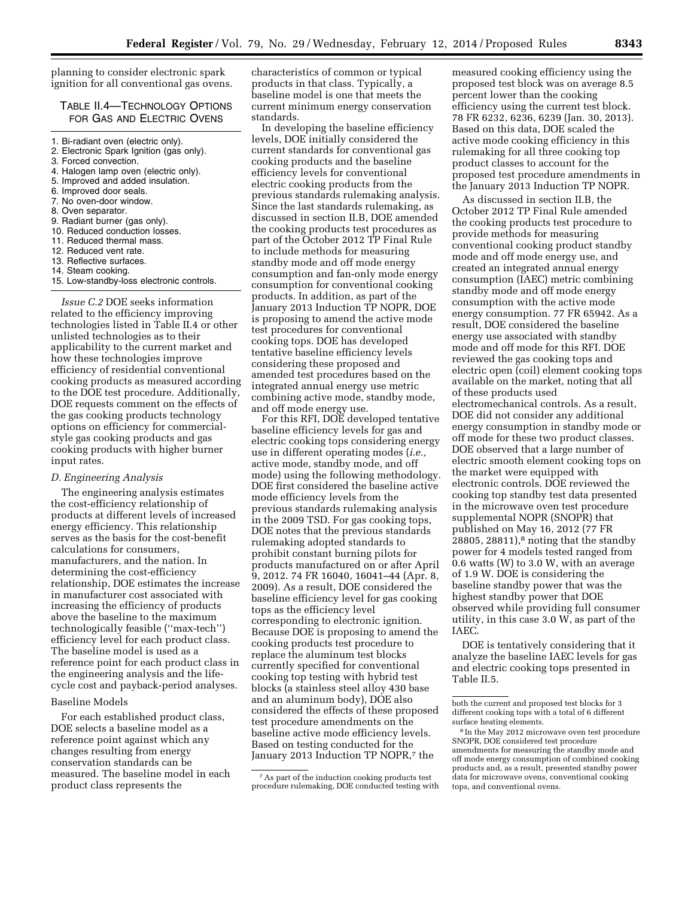planning to consider electronic spark ignition for all conventional gas ovens.

# TABLE II.4—TECHNOLOGY OPTIONS FOR GAS AND ELECTRIC OVENS

1. Bi-radiant oven (electric only).

### 2. Electronic Spark Ignition (gas only).

- 3. Forced convection.
- 4. Halogen lamp oven (electric only).
- 5. Improved and added insulation.
- 6. Improved door seals.
- 7. No oven-door window.
- 8. Oven separator.
- 9. Radiant burner (gas only).
- 10. Reduced conduction losses.
- 11. Reduced thermal mass.
- 12. Reduced vent rate.
- 13. Reflective surfaces.
- 14. Steam cooking.
- 15. Low-standby-loss electronic controls.

*Issue C.2* DOE seeks information related to the efficiency improving technologies listed in Table II.4 or other unlisted technologies as to their applicability to the current market and how these technologies improve efficiency of residential conventional cooking products as measured according to the DOE test procedure. Additionally, DOE requests comment on the effects of the gas cooking products technology options on efficiency for commercialstyle gas cooking products and gas cooking products with higher burner input rates.

## *D. Engineering Analysis*

The engineering analysis estimates the cost-efficiency relationship of products at different levels of increased energy efficiency. This relationship serves as the basis for the cost-benefit calculations for consumers, manufacturers, and the nation. In determining the cost-efficiency relationship, DOE estimates the increase in manufacturer cost associated with increasing the efficiency of products above the baseline to the maximum technologically feasible (''max-tech'') efficiency level for each product class. The baseline model is used as a reference point for each product class in the engineering analysis and the lifecycle cost and payback-period analyses.

### Baseline Models

For each established product class, DOE selects a baseline model as a reference point against which any changes resulting from energy conservation standards can be measured. The baseline model in each product class represents the

characteristics of common or typical products in that class. Typically, a baseline model is one that meets the current minimum energy conservation standards.

In developing the baseline efficiency levels, DOE initially considered the current standards for conventional gas cooking products and the baseline efficiency levels for conventional electric cooking products from the previous standards rulemaking analysis. Since the last standards rulemaking, as discussed in section II.B, DOE amended the cooking products test procedures as part of the October 2012 TP Final Rule to include methods for measuring standby mode and off mode energy consumption and fan-only mode energy consumption for conventional cooking products. In addition, as part of the January 2013 Induction TP NOPR, DOE is proposing to amend the active mode test procedures for conventional cooking tops. DOE has developed tentative baseline efficiency levels considering these proposed and amended test procedures based on the integrated annual energy use metric combining active mode, standby mode, and off mode energy use.

For this RFI, DOE developed tentative baseline efficiency levels for gas and electric cooking tops considering energy use in different operating modes (*i.e.,*  active mode, standby mode, and off mode) using the following methodology. DOE first considered the baseline active mode efficiency levels from the previous standards rulemaking analysis in the 2009 TSD. For gas cooking tops, DOE notes that the previous standards rulemaking adopted standards to prohibit constant burning pilots for products manufactured on or after April 9, 2012. 74 FR 16040, 16041–44 (Apr. 8, 2009). As a result, DOE considered the baseline efficiency level for gas cooking tops as the efficiency level corresponding to electronic ignition. Because DOE is proposing to amend the cooking products test procedure to replace the aluminum test blocks currently specified for conventional cooking top testing with hybrid test blocks (a stainless steel alloy 430 base and an aluminum body), DOE also considered the effects of these proposed test procedure amendments on the baseline active mode efficiency levels. Based on testing conducted for the January 2013 Induction TP NOPR,7 the

measured cooking efficiency using the proposed test block was on average 8.5 percent lower than the cooking efficiency using the current test block. 78 FR 6232, 6236, 6239 (Jan. 30, 2013). Based on this data, DOE scaled the active mode cooking efficiency in this rulemaking for all three cooking top product classes to account for the proposed test procedure amendments in the January 2013 Induction TP NOPR.

As discussed in section II.B, the October 2012 TP Final Rule amended the cooking products test procedure to provide methods for measuring conventional cooking product standby mode and off mode energy use, and created an integrated annual energy consumption (IAEC) metric combining standby mode and off mode energy consumption with the active mode energy consumption. 77 FR 65942. As a result, DOE considered the baseline energy use associated with standby mode and off mode for this RFI. DOE reviewed the gas cooking tops and electric open (coil) element cooking tops available on the market, noting that all of these products used electromechanical controls. As a result, DOE did not consider any additional energy consumption in standby mode or off mode for these two product classes. DOE observed that a large number of electric smooth element cooking tops on the market were equipped with electronic controls. DOE reviewed the cooking top standby test data presented in the microwave oven test procedure supplemental NOPR (SNOPR) that published on May 16, 2012 (77 FR 28805, 28811), $\delta$  noting that the standby power for 4 models tested ranged from 0.6 watts (W) to 3.0 W, with an average of 1.9 W. DOE is considering the baseline standby power that was the highest standby power that DOE observed while providing full consumer utility, in this case 3.0 W, as part of the IAEC.

DOE is tentatively considering that it analyze the baseline IAEC levels for gas and electric cooking tops presented in Table II.5.

<sup>7</sup>As part of the induction cooking products test procedure rulemaking, DOE conducted testing with

both the current and proposed test blocks for 3 different cooking tops with a total of 6 different surface heating elements.

<sup>8</sup> In the May 2012 microwave oven test procedure SNOPR, DOE considered test procedure amendments for measuring the standby mode and off mode energy consumption of combined cooking products and, as a result, presented standby power data for microwave ovens, conventional cooking tops, and conventional ovens.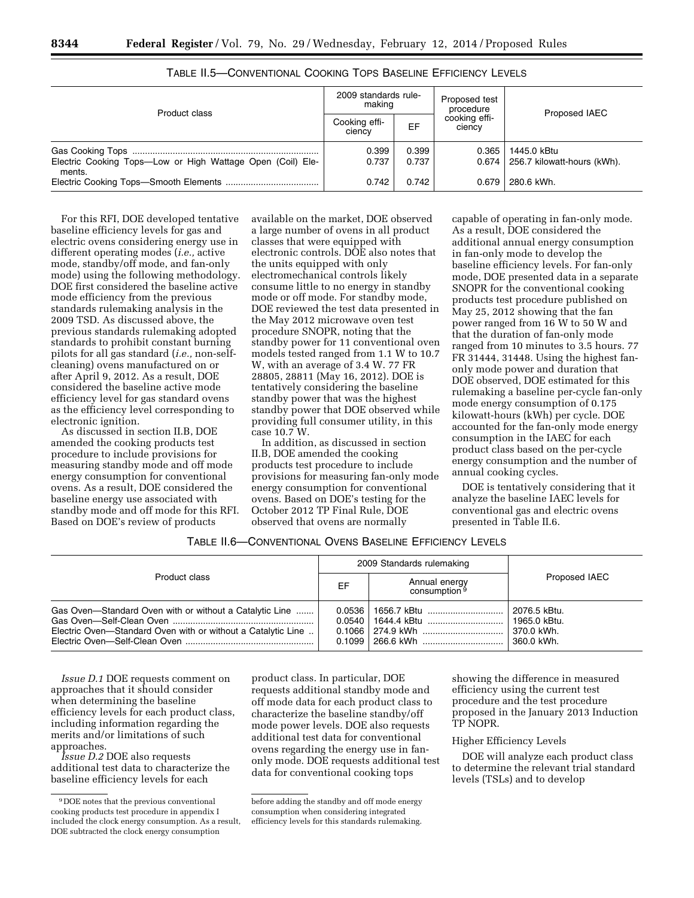|--|

| Product class                                                        | 2009 standards rule-<br>making |                | Proposed test<br>procedure | Proposed IAEC                                        |  |
|----------------------------------------------------------------------|--------------------------------|----------------|----------------------------|------------------------------------------------------|--|
|                                                                      | Cooking effi-<br>ciency        | EF             | cooking effi-<br>ciency    |                                                      |  |
| Electric Cooking Tops-Low or High Wattage Open (Coil) Ele-<br>ments. | 0.399<br>0.737                 | 0.399<br>0.737 | 0.365                      | 1445.0 kBtu<br>$0.674$   256.7 kilowatt-hours (kWh). |  |
|                                                                      | 0.742                          | 0.742          | 0.679                      | 280.6 kWh.                                           |  |

# TABLE II.5—CONVENTIONAL COOKING TOPS BASELINE EFFICIENCY LEVELS

For this RFI, DOE developed tentative baseline efficiency levels for gas and electric ovens considering energy use in different operating modes (*i.e.,* active mode, standby/off mode, and fan-only mode) using the following methodology. DOE first considered the baseline active mode efficiency from the previous standards rulemaking analysis in the 2009 TSD. As discussed above, the previous standards rulemaking adopted standards to prohibit constant burning pilots for all gas standard (*i.e.,* non-selfcleaning) ovens manufactured on or after April 9, 2012. As a result, DOE considered the baseline active mode efficiency level for gas standard ovens as the efficiency level corresponding to electronic ignition.

As discussed in section II.B, DOE amended the cooking products test procedure to include provisions for measuring standby mode and off mode energy consumption for conventional ovens. As a result, DOE considered the baseline energy use associated with standby mode and off mode for this RFI. Based on DOE's review of products

available on the market, DOE observed a large number of ovens in all product classes that were equipped with electronic controls. DOE also notes that the units equipped with only electromechanical controls likely consume little to no energy in standby mode or off mode. For standby mode, DOE reviewed the test data presented in the May 2012 microwave oven test procedure SNOPR, noting that the standby power for 11 conventional oven models tested ranged from 1.1 W to 10.7 W, with an average of 3.4 W. 77 FR 28805, 28811 (May 16, 2012). DOE is tentatively considering the baseline standby power that was the highest standby power that DOE observed while providing full consumer utility, in this case 10.7 W.

In addition, as discussed in section II.B, DOE amended the cooking products test procedure to include provisions for measuring fan-only mode energy consumption for conventional ovens. Based on DOE's testing for the October 2012 TP Final Rule, DOE observed that ovens are normally

capable of operating in fan-only mode. As a result, DOE considered the additional annual energy consumption in fan-only mode to develop the baseline efficiency levels. For fan-only mode, DOE presented data in a separate SNOPR for the conventional cooking products test procedure published on May 25, 2012 showing that the fan power ranged from 16 W to 50 W and that the duration of fan-only mode ranged from 10 minutes to 3.5 hours. 77 FR 31444, 31448. Using the highest fanonly mode power and duration that DOE observed, DOE estimated for this rulemaking a baseline per-cycle fan-only mode energy consumption of 0.175 kilowatt-hours (kWh) per cycle. DOE accounted for the fan-only mode energy consumption in the IAEC for each product class based on the per-cycle energy consumption and the number of annual cooking cycles.

DOE is tentatively considering that it analyze the baseline IAEC levels for conventional gas and electric ovens presented in Table II.6.

# TABLE II.6—CONVENTIONAL OVENS BASELINE EFFICIENCY LEVELS

|                                                                                                                         |                                        | 2009 Standards rulemaking                 |                                                            |
|-------------------------------------------------------------------------------------------------------------------------|----------------------------------------|-------------------------------------------|------------------------------------------------------------|
| Product class                                                                                                           | EF                                     | Annual energy<br>consumption <sup>9</sup> | Proposed IAEC                                              |
| Gas Oven-Standard Oven with or without a Catalytic Line<br>Electric Oven-Standard Oven with or without a Catalytic Line | 0.0536<br>0.0540<br>0.1066<br>$0.1099$ | 1656.7 kBtu<br>1644.4 kBtu<br>274.9 kWh   | 2076.5 kBtu.<br>  1965.0 kBtu.<br>370.0 kWh.<br>360.0 kWh. |

*Issue D.1* DOE requests comment on approaches that it should consider when determining the baseline efficiency levels for each product class, including information regarding the merits and/or limitations of such approaches.

*Issue D.2* DOE also requests additional test data to characterize the baseline efficiency levels for each

product class. In particular, DOE requests additional standby mode and off mode data for each product class to characterize the baseline standby/off mode power levels. DOE also requests additional test data for conventional ovens regarding the energy use in fanonly mode. DOE requests additional test data for conventional cooking tops

showing the difference in measured efficiency using the current test procedure and the test procedure proposed in the January 2013 Induction TP NOPR.

## Higher Efficiency Levels

DOE will analyze each product class to determine the relevant trial standard levels (TSLs) and to develop

<sup>9</sup> DOE notes that the previous conventional cooking products test procedure in appendix I included the clock energy consumption. As a result, DOE subtracted the clock energy consumption

before adding the standby and off mode energy consumption when considering integrated efficiency levels for this standards rulemaking.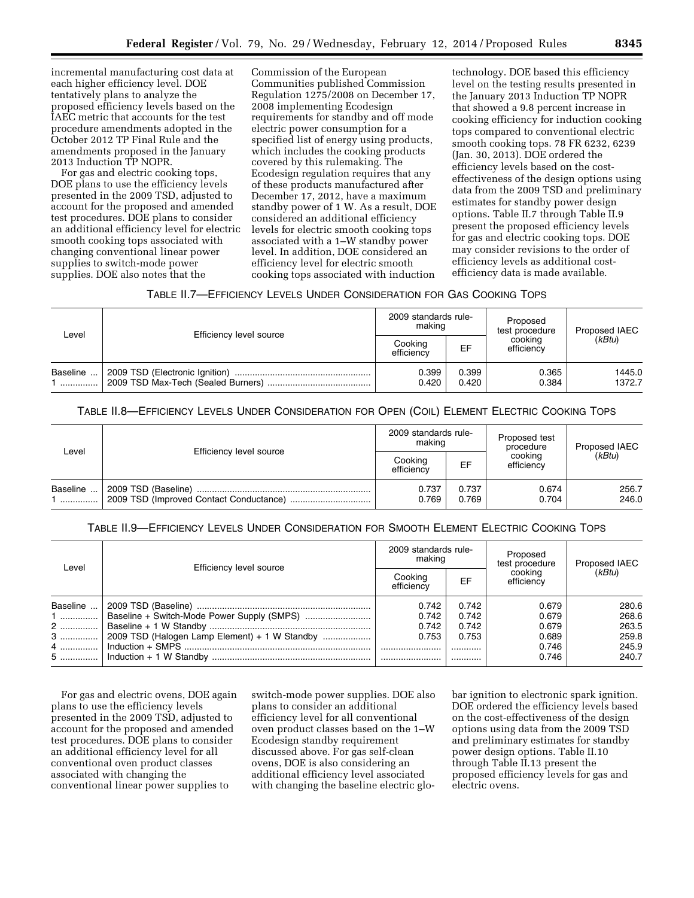incremental manufacturing cost data at each higher efficiency level. DOE tentatively plans to analyze the proposed efficiency levels based on the IAEC metric that accounts for the test procedure amendments adopted in the October 2012 TP Final Rule and the amendments proposed in the January 2013 Induction TP NOPR.

For gas and electric cooking tops, DOE plans to use the efficiency levels presented in the 2009 TSD, adjusted to account for the proposed and amended test procedures. DOE plans to consider an additional efficiency level for electric smooth cooking tops associated with changing conventional linear power supplies to switch-mode power supplies. DOE also notes that the

Commission of the European Communities published Commission Regulation 1275/2008 on December 17, 2008 implementing Ecodesign requirements for standby and off mode electric power consumption for a specified list of energy using products, which includes the cooking products covered by this rulemaking. The Ecodesign regulation requires that any of these products manufactured after December 17, 2012, have a maximum standby power of 1 W. As a result, DOE considered an additional efficiency levels for electric smooth cooking tops associated with a 1–W standby power level. In addition, DOE considered an efficiency level for electric smooth cooking tops associated with induction

technology. DOE based this efficiency level on the testing results presented in the January 2013 Induction TP NOPR that showed a 9.8 percent increase in cooking efficiency for induction cooking tops compared to conventional electric smooth cooking tops. 78 FR 6232, 6239 (Jan. 30, 2013). DOE ordered the efficiency levels based on the costeffectiveness of the design options using data from the 2009 TSD and preliminary estimates for standby power design options. Table II.7 through Table II.9 present the proposed efficiency levels for gas and electric cooking tops. DOE may consider revisions to the order of efficiency levels as additional costefficiency data is made available.

| TABLE II.7—EFFICIENCY LEVELS UNDER CONSIDERATION FOR GAS COOKING TOPS |  |  |
|-----------------------------------------------------------------------|--|--|
|-----------------------------------------------------------------------|--|--|

| Level         | Efficiency level source | 2009 standards rule-<br>making |                | Proposed<br>test procedure | Proposed IAEC    |
|---------------|-------------------------|--------------------------------|----------------|----------------------------|------------------|
|               |                         | Cooking<br>efficiencv          | EF             | cooking<br>efficiency      | (kBtu)           |
| Baseline<br>. |                         | 0.399<br>0.420                 | 0.399<br>0.420 | 0.365<br>0.384             | 1445.0<br>1372.7 |

## TABLE II.8—EFFICIENCY LEVELS UNDER CONSIDERATION FOR OPEN (COIL) ELEMENT ELECTRIC COOKING TOPS

| Level         | Efficiency level source | 2009 standards rule-<br>making |                | Proposed test<br>procedure | Proposed IAEC  |
|---------------|-------------------------|--------------------------------|----------------|----------------------------|----------------|
|               |                         | Cooking<br>efficiencv          | EF             | cooking<br>efficiency      | (kBtu)         |
| Baseline<br>. | 2009 TSD (Baseline)     | 0.737<br>0.769                 | 0.737<br>0.769 | 0.674<br>0.704             | 256.7<br>246.0 |

# TABLE II.9—EFFICIENCY LEVELS UNDER CONSIDERATION FOR SMOOTH ELEMENT ELECTRIC COOKING TOPS

| Level    | Efficiency level source                       | 2009 standards rule-<br>making |       | Proposed<br>test procedure | Proposed IAEC |
|----------|-----------------------------------------------|--------------------------------|-------|----------------------------|---------------|
|          |                                               | Cooking<br>efficiency          | EF    | cookina<br>efficiency      | (kBtu)        |
| Baseline |                                               | 0.742                          | 0.742 | 0.679                      | 280.6         |
| 1        | Baseline + Switch-Mode Power Supply (SMPS)    | 0.742                          | 0.742 | 0.679                      | 268.6         |
| 2  '     |                                               | 0.742                          | 0.742 | 0.679                      | 263.5         |
| 3        | 2009 TSD (Halogen Lamp Element) + 1 W Standby | 0.753                          | 0.753 | 0.689                      | 259.8         |
| 4        |                                               |                                | .     | 0.746                      | 245.9         |
|          |                                               |                                | .     | 0.746                      | 240.7         |

For gas and electric ovens, DOE again plans to use the efficiency levels presented in the 2009 TSD, adjusted to account for the proposed and amended test procedures. DOE plans to consider an additional efficiency level for all conventional oven product classes associated with changing the conventional linear power supplies to

switch-mode power supplies. DOE also plans to consider an additional efficiency level for all conventional oven product classes based on the 1–W Ecodesign standby requirement discussed above. For gas self-clean ovens, DOE is also considering an additional efficiency level associated with changing the baseline electric globar ignition to electronic spark ignition. DOE ordered the efficiency levels based on the cost-effectiveness of the design options using data from the 2009 TSD and preliminary estimates for standby power design options. Table II.10 through Table II.13 present the proposed efficiency levels for gas and electric ovens.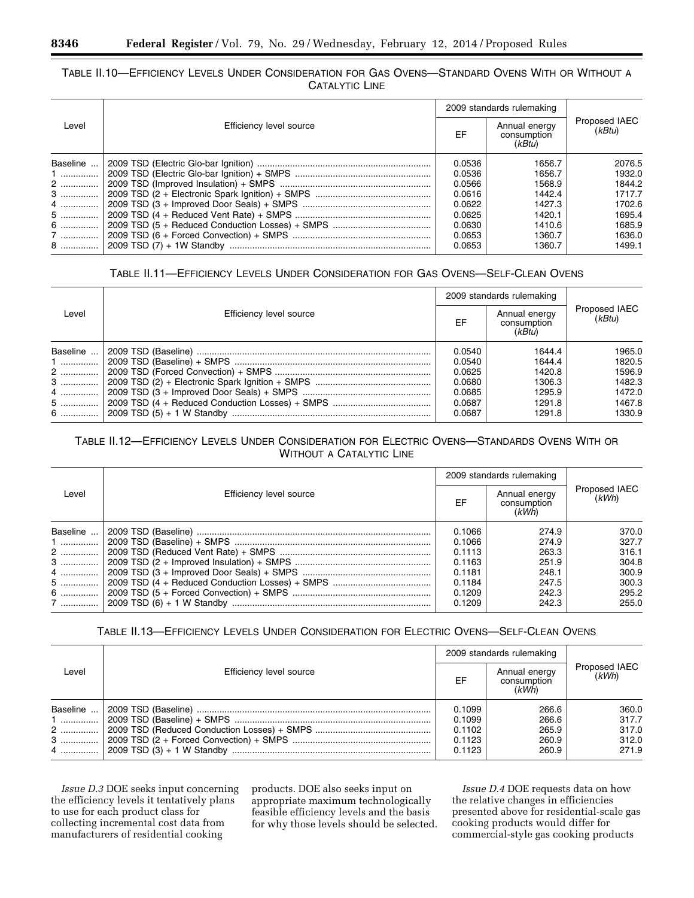# TABLE II.10—EFFICIENCY LEVELS UNDER CONSIDERATION FOR GAS OVENS—STANDARD OVENS WITH OR WITHOUT A CATALYTIC LINE

|          |                         |        | 2009 standards rulemaking              |                         |
|----------|-------------------------|--------|----------------------------------------|-------------------------|
| Level    | Efficiency level source | EF     | Annual energy<br>consumption<br>(kBtu) | Proposed IAEC<br>(kBtu) |
| Baseline |                         | 0.0536 | 1656.7                                 | 2076.5                  |
| $1$      |                         | 0.0536 | 1656.7                                 | 1932.0                  |
| 2        |                         | 0.0566 | 1568.9                                 | 1844.2                  |
| 3        |                         | 0.0616 | 1442.4                                 | 1717.7                  |
| 4        |                         | 0.0622 | 1427.3                                 | 1702.6                  |
| 5        |                         | 0.0625 | 1420.1                                 | 1695.4                  |
| 6        |                         | 0.0630 | 1410.6                                 | 1685.9                  |
| 7        |                         | 0.0653 | 1360.7                                 | 1636.0                  |
| 8        |                         | 0.0653 | 1360.7                                 | 1499.1                  |

# TABLE II.11—EFFICIENCY LEVELS UNDER CONSIDERATION FOR GAS OVENS—SELF-CLEAN OVENS

|          |                         |        | 2009 standards rulemaking              |                         |
|----------|-------------------------|--------|----------------------------------------|-------------------------|
| Level    | Efficiency level source | EF     | Annual energy<br>consumption<br>(kBtu) | Proposed IAEC<br>(kBtu) |
| Baseline |                         | 0.0540 | 1644.4                                 | 1965.0                  |
| $1$      |                         | 0.0540 | 1644.4                                 | 1820.5                  |
| 2        |                         | 0.0625 | 1420.8                                 | 1596.9                  |
| 3        |                         | 0.0680 | 1306.3                                 | 1482.3                  |
| 4        |                         | 0.0685 | 1295.9                                 | 1472.0                  |
| 5        |                         | 0.0687 | 1291.8                                 | 1467.8                  |
| 6        |                         | 0.0687 | 1291.8                                 | 1330.9                  |

# TABLE II.12—EFFICIENCY LEVELS UNDER CONSIDERATION FOR ELECTRIC OVENS—STANDARDS OVENS WITH OR WITHOUT A CATALYTIC LINE

|          |                         |        | 2009 standards rulemaking             |                        |
|----------|-------------------------|--------|---------------------------------------|------------------------|
| Level    | Efficiency level source | EF     | Annual energy<br>consumption<br>(kWh) | Proposed IAEC<br>(kWh) |
| Baseline |                         | 0.1066 | 274.9                                 | 370.0                  |
| $1$      |                         | 0.1066 | 274.9                                 | 327.7                  |
| 2        |                         | 0.1113 | 263.3                                 | 316.1                  |
| 3        |                         | 0.1163 | 251.9                                 | 304.8                  |
| 4        |                         | 0.1181 | 248.1                                 | 300.9                  |
| 5        |                         | 0.1184 | 247.5                                 | 300.3                  |
| 6        |                         | 0.1209 | 242.3                                 | 295.2                  |
| 7        |                         | 0.1209 | 242.3                                 | 255.0                  |

# TABLE II.13—EFFICIENCY LEVELS UNDER CONSIDERATION FOR ELECTRIC OVENS—SELF-CLEAN OVENS

|                             |                         |                                                | 2009 standards rulemaking                 |                                           |
|-----------------------------|-------------------------|------------------------------------------------|-------------------------------------------|-------------------------------------------|
| Level                       | Efficiency level source | EF                                             | Annual energy<br>consumption<br>(kWh)     | Proposed IAEC<br>(kWh)                    |
| Baseline<br>$1$<br>2<br>$3$ |                         | 0.1099<br>0.1099<br>0.1102<br>0.1123<br>0.1123 | 266.6<br>266.6<br>265.9<br>260.9<br>260.9 | 360.0<br>317.7<br>317.0<br>312.0<br>271.9 |

*Issue D.3* DOE seeks input concerning the efficiency levels it tentatively plans to use for each product class for collecting incremental cost data from manufacturers of residential cooking

products. DOE also seeks input on appropriate maximum technologically feasible efficiency levels and the basis for why those levels should be selected.

*Issue D.4* DOE requests data on how the relative changes in efficiencies presented above for residential-scale gas cooking products would differ for commercial-style gas cooking products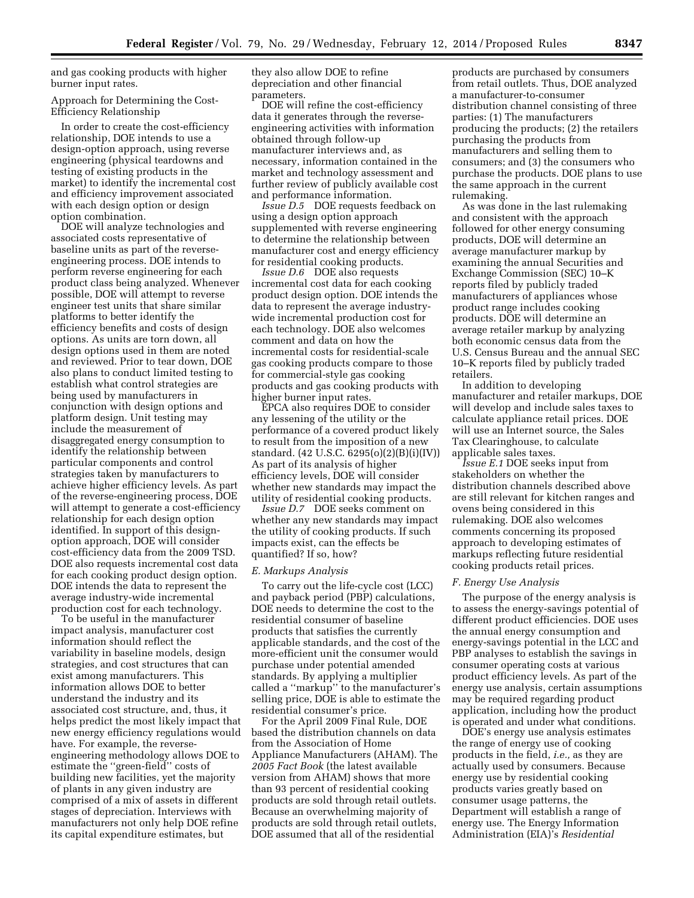and gas cooking products with higher burner input rates.

Approach for Determining the Cost-Efficiency Relationship

In order to create the cost-efficiency relationship, DOE intends to use a design-option approach, using reverse engineering (physical teardowns and testing of existing products in the market) to identify the incremental cost and efficiency improvement associated with each design option or design option combination.

DOE will analyze technologies and associated costs representative of baseline units as part of the reverseengineering process. DOE intends to perform reverse engineering for each product class being analyzed. Whenever possible, DOE will attempt to reverse engineer test units that share similar platforms to better identify the efficiency benefits and costs of design options. As units are torn down, all design options used in them are noted and reviewed. Prior to tear down, DOE also plans to conduct limited testing to establish what control strategies are being used by manufacturers in conjunction with design options and platform design. Unit testing may include the measurement of disaggregated energy consumption to identify the relationship between particular components and control strategies taken by manufacturers to achieve higher efficiency levels. As part of the reverse-engineering process, DOE will attempt to generate a cost-efficiency relationship for each design option identified. In support of this designoption approach, DOE will consider cost-efficiency data from the 2009 TSD. DOE also requests incremental cost data for each cooking product design option. DOE intends the data to represent the average industry-wide incremental production cost for each technology.

To be useful in the manufacturer impact analysis, manufacturer cost information should reflect the variability in baseline models, design strategies, and cost structures that can exist among manufacturers. This information allows DOE to better understand the industry and its associated cost structure, and, thus, it helps predict the most likely impact that new energy efficiency regulations would have. For example, the reverseengineering methodology allows DOE to estimate the ''green-field'' costs of building new facilities, yet the majority of plants in any given industry are comprised of a mix of assets in different stages of depreciation. Interviews with manufacturers not only help DOE refine its capital expenditure estimates, but

they also allow DOE to refine depreciation and other financial parameters.

DOE will refine the cost-efficiency data it generates through the reverseengineering activities with information obtained through follow-up manufacturer interviews and, as necessary, information contained in the market and technology assessment and further review of publicly available cost and performance information.

*Issue D.5* DOE requests feedback on using a design option approach supplemented with reverse engineering to determine the relationship between manufacturer cost and energy efficiency for residential cooking products.

*Issue D.6* DOE also requests incremental cost data for each cooking product design option. DOE intends the data to represent the average industrywide incremental production cost for each technology. DOE also welcomes comment and data on how the incremental costs for residential-scale gas cooking products compare to those for commercial-style gas cooking products and gas cooking products with higher burner input rates.

EPCA also requires DOE to consider any lessening of the utility or the performance of a covered product likely to result from the imposition of a new standard. (42 U.S.C. 6295(o)(2)(B)(i)(IV)) As part of its analysis of higher efficiency levels, DOE will consider whether new standards may impact the utility of residential cooking products.

*Issue D.7* DOE seeks comment on whether any new standards may impact the utility of cooking products. If such impacts exist, can the effects be quantified? If so, how?

### *E. Markups Analysis*

To carry out the life-cycle cost (LCC) and payback period (PBP) calculations, DOE needs to determine the cost to the residential consumer of baseline products that satisfies the currently applicable standards, and the cost of the more-efficient unit the consumer would purchase under potential amended standards. By applying a multiplier called a ''markup'' to the manufacturer's selling price, DOE is able to estimate the residential consumer's price.

For the April 2009 Final Rule, DOE based the distribution channels on data from the Association of Home Appliance Manufacturers (AHAM). The *2005 Fact Book* (the latest available version from AHAM) shows that more than 93 percent of residential cooking products are sold through retail outlets. Because an overwhelming majority of products are sold through retail outlets, DOE assumed that all of the residential

products are purchased by consumers from retail outlets. Thus, DOE analyzed a manufacturer-to-consumer distribution channel consisting of three parties: (1) The manufacturers producing the products; (2) the retailers purchasing the products from manufacturers and selling them to consumers; and (3) the consumers who purchase the products. DOE plans to use the same approach in the current rulemaking.

As was done in the last rulemaking and consistent with the approach followed for other energy consuming products, DOE will determine an average manufacturer markup by examining the annual Securities and Exchange Commission (SEC) 10–K reports filed by publicly traded manufacturers of appliances whose product range includes cooking products. DOE will determine an average retailer markup by analyzing both economic census data from the U.S. Census Bureau and the annual SEC 10–K reports filed by publicly traded retailers.

In addition to developing manufacturer and retailer markups, DOE will develop and include sales taxes to calculate appliance retail prices. DOE will use an Internet source, the Sales Tax Clearinghouse, to calculate applicable sales taxes.

*Issue E.1* DOE seeks input from stakeholders on whether the distribution channels described above are still relevant for kitchen ranges and ovens being considered in this rulemaking. DOE also welcomes comments concerning its proposed approach to developing estimates of markups reflecting future residential cooking products retail prices.

### *F. Energy Use Analysis*

The purpose of the energy analysis is to assess the energy-savings potential of different product efficiencies. DOE uses the annual energy consumption and energy-savings potential in the LCC and PBP analyses to establish the savings in consumer operating costs at various product efficiency levels. As part of the energy use analysis, certain assumptions may be required regarding product application, including how the product is operated and under what conditions.

DOE's energy use analysis estimates the range of energy use of cooking products in the field, *i.e.,* as they are actually used by consumers. Because energy use by residential cooking products varies greatly based on consumer usage patterns, the Department will establish a range of energy use. The Energy Information Administration (EIA)'s *Residential*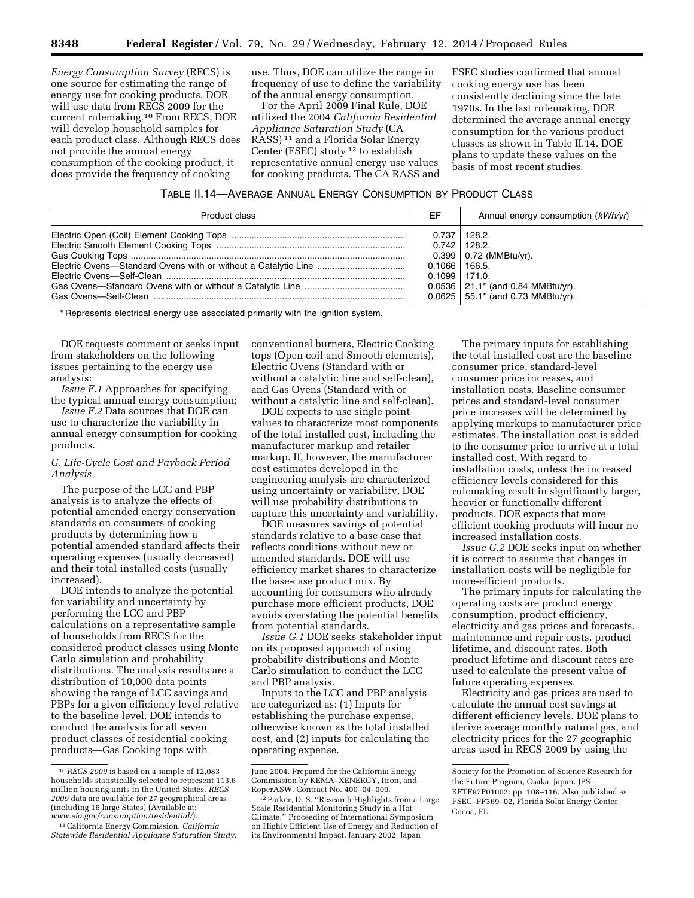*Energy Consumption Survey* (RECS) is one source for estimating the range of energy use for cooking products. DOE will use data from RECS 2009 for the current rulemaking.10 From RECS, DOE will develop household samples for each product class. Although RECS does not provide the annual energy consumption of the cooking product, it does provide the frequency of cooking

use. Thus, DOE can utilize the range in frequency of use to define the variability of the annual energy consumption.

For the April 2009 Final Rule, DOE utilized the 2004 *California Residential Appliance Saturation Study* (CA RASS) 11 and a Florida Solar Energy Center (FSEC) study 12 to establish representative annual energy use values for cooking products. The CA RASS and

FSEC studies confirmed that annual cooking energy use has been consistently declining since the late 1970s. In the last rulemaking, DOE determined the average annual energy consumption for the various product classes as shown in Table II.14. DOE plans to update these values on the basis of most recent studies.

| TABLE II.14-AVERAGE ANNUAL ENERGY CONSUMPTION BY PRODUCT CLASS |
|----------------------------------------------------------------|
|----------------------------------------------------------------|

| Product class | EF                                     | Annual energy consumption (kWh/yr)                                                                                                                   |
|---------------|----------------------------------------|------------------------------------------------------------------------------------------------------------------------------------------------------|
|               | $0.1066$   166.5.<br>$0.1099$   171.0. | $0.737$   128.2.<br>$0.742$   128.2.<br>$0.399$   0.72 (MMBtu/yr).<br>$0.0536$   21.1* (and 0.84 MMBtu/yr).<br>$0.0625$   55.1* (and 0.73 MMBtu/yr). |

\* Represents electrical energy use associated primarily with the ignition system.

DOE requests comment or seeks input from stakeholders on the following issues pertaining to the energy use analysis:

*Issue F.1* Approaches for specifying the typical annual energy consumption;

*Issue F.2* Data sources that DOE can use to characterize the variability in annual energy consumption for cooking products.

# *G. Life-Cycle Cost and Payback Period Analysis*

The purpose of the LCC and PBP analysis is to analyze the effects of potential amended energy conservation standards on consumers of cooking products by determining how a potential amended standard affects their operating expenses (usually decreased) and their total installed costs (usually increased).

DOE intends to analyze the potential for variability and uncertainty by performing the LCC and PBP calculations on a representative sample of households from RECS for the considered product classes using Monte Carlo simulation and probability distributions. The analysis results are a distribution of 10,000 data points showing the range of LCC savings and PBPs for a given efficiency level relative to the baseline level. DOE intends to conduct the analysis for all seven product classes of residential cooking products—Gas Cooking tops with

conventional burners, Electric Cooking tops (Open coil and Smooth elements), Electric Ovens (Standard with or without a catalytic line and self-clean), and Gas Ovens (Standard with or without a catalytic line and self-clean).

DOE expects to use single point values to characterize most components of the total installed cost, including the manufacturer markup and retailer markup. If, however, the manufacturer cost estimates developed in the engineering analysis are characterized using uncertainty or variability, DOE will use probability distributions to capture this uncertainty and variability.

DOE measures savings of potential standards relative to a base case that reflects conditions without new or amended standards. DOE will use efficiency market shares to characterize the base-case product mix. By accounting for consumers who already purchase more efficient products, DOE avoids overstating the potential benefits from potential standards.

*Issue G.1* DOE seeks stakeholder input on its proposed approach of using probability distributions and Monte Carlo simulation to conduct the LCC and PBP analysis.

Inputs to the LCC and PBP analysis are categorized as: (1) Inputs for establishing the purchase expense, otherwise known as the total installed cost, and (2) inputs for calculating the operating expense.

The primary inputs for establishing the total installed cost are the baseline consumer price, standard-level consumer price increases, and installation costs. Baseline consumer prices and standard-level consumer price increases will be determined by applying markups to manufacturer price estimates. The installation cost is added to the consumer price to arrive at a total installed cost. With regard to installation costs, unless the increased efficiency levels considered for this rulemaking result in significantly larger, heavier or functionally different products, DOE expects that more efficient cooking products will incur no increased installation costs.

*Issue G.2* DOE seeks input on whether it is correct to assume that changes in installation costs will be negligible for more-efficient products.

The primary inputs for calculating the operating costs are product energy consumption, product efficiency, electricity and gas prices and forecasts, maintenance and repair costs, product lifetime, and discount rates. Both product lifetime and discount rates are used to calculate the present value of future operating expenses.

Electricity and gas prices are used to calculate the annual cost savings at different efficiency levels. DOE plans to derive average monthly natural gas, and electricity prices for the 27 geographic areas used in RECS 2009 by using the

<sup>10</sup>*RECS 2009* is based on a sample of 12,083 households statistically selected to represent 113.6 million housing units in the United States. *RECS 2009* data are available for 27 geographical areas (including 16 large States) (Available at:<br>www.eia.gov/consumption/residential/).

*[www.eia.gov/consumption/residential/](http://www.eia.gov/consumption/residential/)*). 11California Energy Commission. *California Statewide Residential Appliance Saturation Study,* 

June 2004. Prepared for the California Energy Commission by KEMA–XENERGY, Itron, and

 $12$  Parker, D. S. "Research Highlights from a Large Scale Residential Monitoring Study in a Hot Climate.'' Proceeding of International Symposium on Highly Efficient Use of Energy and Reduction of its Environmental Impact, January 2002. Japan

Society for the Promotion of Science Research for the Future Program, Osaka, Japan. JPS– RFTF97P01002: pp. 108–116. Also published as FSEC–PF369–02, Florida Solar Energy Center, Cocoa, FL.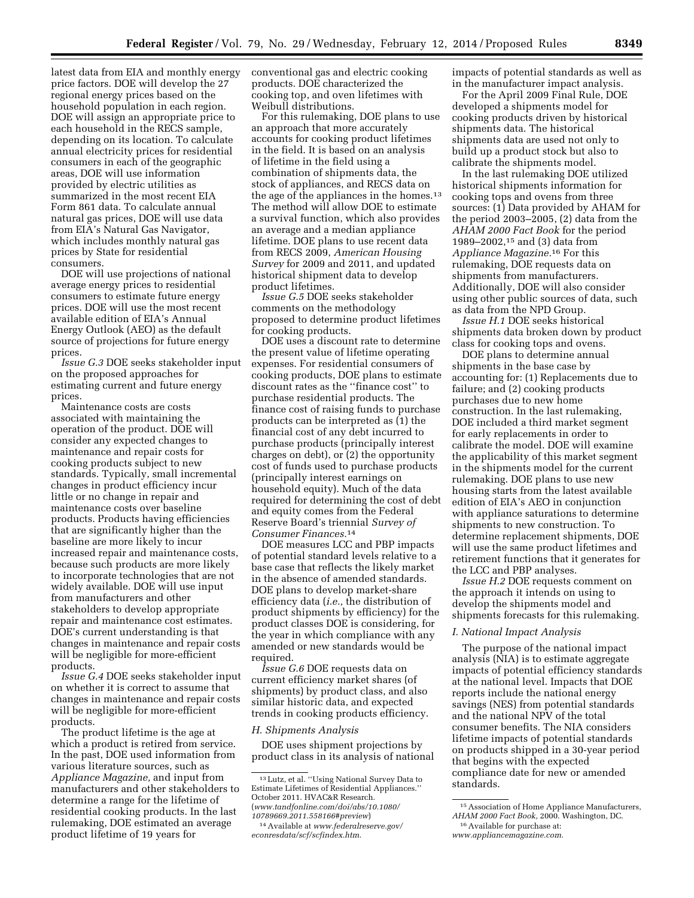latest data from EIA and monthly energy price factors. DOE will develop the 27 regional energy prices based on the household population in each region. DOE will assign an appropriate price to each household in the RECS sample, depending on its location. To calculate annual electricity prices for residential consumers in each of the geographic areas, DOE will use information provided by electric utilities as summarized in the most recent EIA Form 861 data. To calculate annual natural gas prices, DOE will use data from EIA's Natural Gas Navigator, which includes monthly natural gas prices by State for residential consumers.

DOE will use projections of national average energy prices to residential consumers to estimate future energy prices. DOE will use the most recent available edition of EIA's Annual Energy Outlook (AEO) as the default source of projections for future energy prices.

*Issue G.3* DOE seeks stakeholder input on the proposed approaches for estimating current and future energy prices.

Maintenance costs are costs associated with maintaining the operation of the product. DOE will consider any expected changes to maintenance and repair costs for cooking products subject to new standards. Typically, small incremental changes in product efficiency incur little or no change in repair and maintenance costs over baseline products. Products having efficiencies that are significantly higher than the baseline are more likely to incur increased repair and maintenance costs, because such products are more likely to incorporate technologies that are not widely available. DOE will use input from manufacturers and other stakeholders to develop appropriate repair and maintenance cost estimates. DOE's current understanding is that changes in maintenance and repair costs will be negligible for more-efficient products.

*Issue G.4* DOE seeks stakeholder input on whether it is correct to assume that changes in maintenance and repair costs will be negligible for more-efficient products.

The product lifetime is the age at which a product is retired from service. In the past, DOE used information from various literature sources, such as *Appliance Magazine,* and input from manufacturers and other stakeholders to determine a range for the lifetime of residential cooking products. In the last rulemaking, DOE estimated an average product lifetime of 19 years for

conventional gas and electric cooking products. DOE characterized the cooking top, and oven lifetimes with Weibull distributions.

For this rulemaking, DOE plans to use an approach that more accurately accounts for cooking product lifetimes in the field. It is based on an analysis of lifetime in the field using a combination of shipments data, the stock of appliances, and RECS data on the age of the appliances in the homes.<sup>13</sup> The method will allow DOE to estimate a survival function, which also provides an average and a median appliance lifetime. DOE plans to use recent data from RECS 2009, *American Housing Survey* for 2009 and 2011, and updated historical shipment data to develop product lifetimes.

*Issue G.5* DOE seeks stakeholder comments on the methodology proposed to determine product lifetimes for cooking products.

DOE uses a discount rate to determine the present value of lifetime operating expenses. For residential consumers of cooking products, DOE plans to estimate discount rates as the ''finance cost'' to purchase residential products. The finance cost of raising funds to purchase products can be interpreted as (1) the financial cost of any debt incurred to purchase products (principally interest charges on debt), or (2) the opportunity cost of funds used to purchase products (principally interest earnings on household equity). Much of the data required for determining the cost of debt and equity comes from the Federal Reserve Board's triennial *Survey of Consumer Finances.*14

DOE measures LCC and PBP impacts of potential standard levels relative to a base case that reflects the likely market in the absence of amended standards. DOE plans to develop market-share efficiency data (*i.e.,* the distribution of product shipments by efficiency) for the product classes DOE is considering, for the year in which compliance with any amended or new standards would be required.

*Issue G.6* DOE requests data on current efficiency market shares (of shipments) by product class, and also similar historic data, and expected trends in cooking products efficiency.

### *H. Shipments Analysis*

DOE uses shipment projections by product class in its analysis of national

13Lutz, et al. ''Using National Survey Data to Estimate Lifetimes of Residential Appliances.'' October 2011. HVAC&R Research. (*[www.tandfonline.com/doi/abs/10.1080/](http://www.tandfonline.com/doi/abs/10.1080/10789669.2011.558166#preview) [10789669.2011.558166#preview](http://www.tandfonline.com/doi/abs/10.1080/10789669.2011.558166#preview)*)

impacts of potential standards as well as in the manufacturer impact analysis.

For the April 2009 Final Rule, DOE developed a shipments model for cooking products driven by historical shipments data. The historical shipments data are used not only to build up a product stock but also to calibrate the shipments model.

In the last rulemaking DOE utilized historical shipments information for cooking tops and ovens from three sources: (1) Data provided by AHAM for the period 2003–2005, (2) data from the *AHAM 2000 Fact Book* for the period 1989–2002,15 and (3) data from *Appliance Magazine.*16 For this rulemaking, DOE requests data on shipments from manufacturers. Additionally, DOE will also consider using other public sources of data, such as data from the NPD Group.

*Issue H.1* DOE seeks historical shipments data broken down by product class for cooking tops and ovens.

DOE plans to determine annual shipments in the base case by accounting for: (1) Replacements due to failure; and (2) cooking products purchases due to new home construction. In the last rulemaking, DOE included a third market segment for early replacements in order to calibrate the model. DOE will examine the applicability of this market segment in the shipments model for the current rulemaking. DOE plans to use new housing starts from the latest available edition of EIA's AEO in conjunction with appliance saturations to determine shipments to new construction. To determine replacement shipments, DOE will use the same product lifetimes and retirement functions that it generates for the LCC and PBP analyses.

*Issue H.2* DOE requests comment on the approach it intends on using to develop the shipments model and shipments forecasts for this rulemaking.

### *I. National Impact Analysis*

The purpose of the national impact analysis (NIA) is to estimate aggregate impacts of potential efficiency standards at the national level. Impacts that DOE reports include the national energy savings (NES) from potential standards and the national NPV of the total consumer benefits. The NIA considers lifetime impacts of potential standards on products shipped in a 30-year period that begins with the expected compliance date for new or amended standards.

<sup>14</sup>Available at *[www.federalreserve.gov/](http://www.federalreserve.gov/econresdata/scf/scfindex.htm) [econresdata/scf/scfindex.htm](http://www.federalreserve.gov/econresdata/scf/scfindex.htm)*.

<sup>15</sup>Association of Home Appliance Manufacturers, *AHAM 2000 Fact Book,* 2000. Washington, DC.

<sup>16</sup>Available for purchase at:

*[www.appliancemagazine.com](http://www.appliancemagazine.com)*.